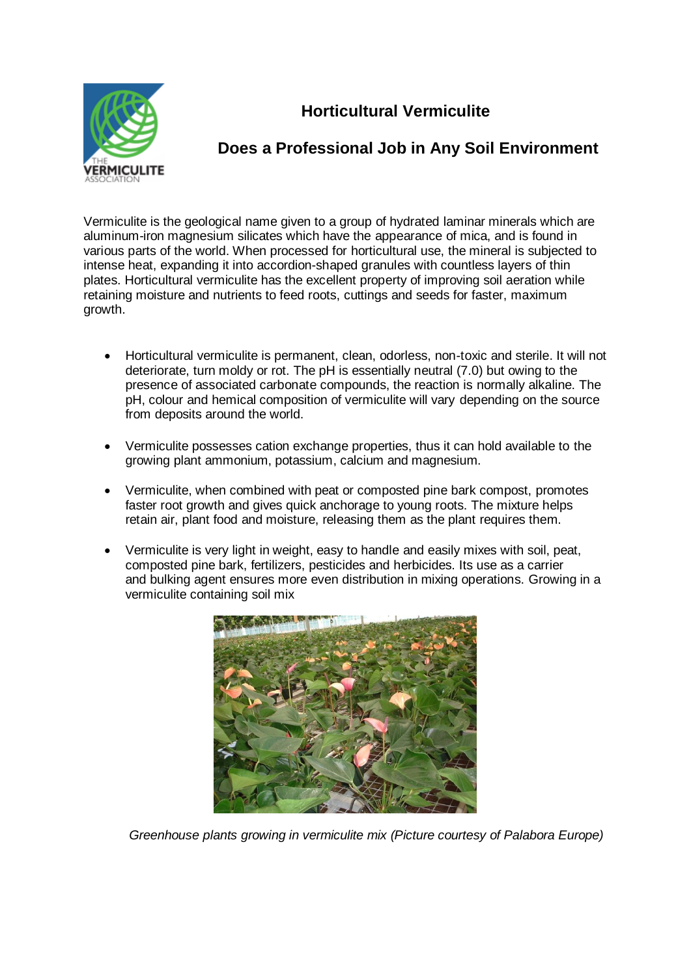

## **Horticultural Vermiculite**

## **Does a Professional Job in Any Soil Environment**

Vermiculite is the geological name given to a group of hydrated laminar minerals which are aluminum-iron magnesium silicates which have the appearance of mica, and is found in various parts of the world. When processed for horticultural use, the mineral is subjected to intense heat, expanding it into accordion-shaped granules with countless layers of thin plates. Horticultural vermiculite has the excellent property of improving soil aeration while retaining moisture and nutrients to feed roots, cuttings and seeds for faster, maximum growth.

- Horticultural vermiculite is permanent, clean, odorless, non-toxic and sterile. It will not deteriorate, turn moldy or rot. The pH is essentially neutral (7.0) but owing to the presence of associated carbonate compounds, the reaction is normally alkaline. The pH, colour and hemical composition of vermiculite will vary depending on the source from deposits around the world.
- Vermiculite possesses cation exchange properties, thus it can hold available to the growing plant ammonium, potassium, calcium and magnesium.
- Vermiculite, when combined with peat or composted pine bark compost, promotes faster root growth and gives quick anchorage to young roots. The mixture helps retain air, plant food and moisture, releasing them as the plant requires them.
- Vermiculite is very light in weight, easy to handle and easily mixes with soil, peat, composted pine bark, fertilizers, pesticides and herbicides. Its use as a carrier and bulking agent ensures more even distribution in mixing operations. Growing in a vermiculite containing soil mix



*Greenhouse plants growing in vermiculite mix (Picture courtesy of Palabora Europe)*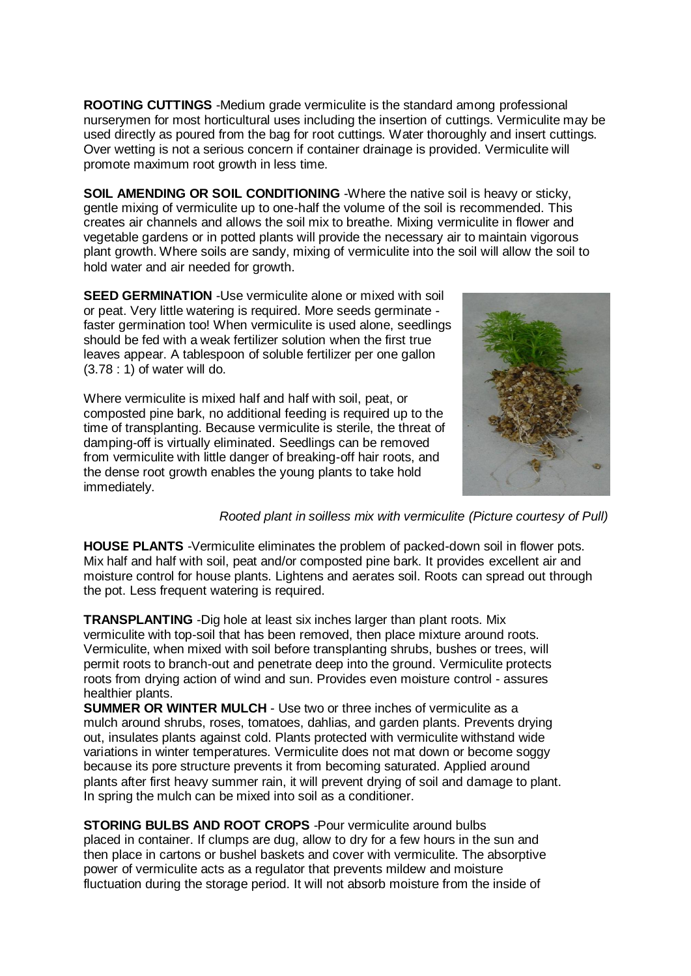**ROOTING CUTTINGS** -Medium grade vermiculite is the standard among professional nurserymen for most horticultural uses including the insertion of cuttings. Vermiculite may be used directly as poured from the bag for root cuttings. Water thoroughly and insert cuttings. Over wetting is not a serious concern if container drainage is provided. Vermiculite will promote maximum root growth in less time.

**SOIL AMENDING OR SOIL CONDITIONING** -Where the native soil is heavy or sticky, gentle mixing of vermiculite up to one-half the volume of the soil is recommended. This creates air channels and allows the soil mix to breathe. Mixing vermiculite in flower and vegetable gardens or in potted plants will provide the necessary air to maintain vigorous plant growth. Where soils are sandy, mixing of vermiculite into the soil will allow the soil to hold water and air needed for growth.

**SEED GERMINATION** -Use vermiculite alone or mixed with soil or peat. Very little watering is required. More seeds germinate faster germination too! When vermiculite is used alone, seedlings should be fed with a weak fertilizer solution when the first true leaves appear. A tablespoon of soluble fertilizer per one gallon (3.78 : 1) of water will do.

Where vermiculite is mixed half and half with soil, peat, or composted pine bark, no additional feeding is required up to the time of transplanting. Because vermiculite is sterile, the threat of damping-off is virtually eliminated. Seedlings can be removed from vermiculite with little danger of breaking-off hair roots, and the dense root growth enables the young plants to take hold immediately.



*Rooted plant in soilless mix with vermiculite (Picture courtesy of Pull)*

**HOUSE PLANTS** -Vermiculite eliminates the problem of packed-down soil in flower pots. Mix half and half with soil, peat and/or composted pine bark. It provides excellent air and moisture control for house plants. Lightens and aerates soil. Roots can spread out through the pot. Less frequent watering is required.

**TRANSPLANTING** -Dig hole at least six inches larger than plant roots. Mix vermiculite with top-soil that has been removed, then place mixture around roots. Vermiculite, when mixed with soil before transplanting shrubs, bushes or trees, will permit roots to branch-out and penetrate deep into the ground. Vermiculite protects roots from drying action of wind and sun. Provides even moisture control - assures healthier plants.

**SUMMER OR WINTER MULCH** - Use two or three inches of vermiculite as a mulch around shrubs, roses, tomatoes, dahlias, and garden plants. Prevents drying out, insulates plants against cold. Plants protected with vermiculite withstand wide variations in winter temperatures. Vermiculite does not mat down or become soggy because its pore structure prevents it from becoming saturated. Applied around plants after first heavy summer rain, it will prevent drying of soil and damage to plant. In spring the mulch can be mixed into soil as a conditioner.

**STORING BULBS AND ROOT CROPS** -Pour vermiculite around bulbs placed in container. If clumps are dug, allow to dry for a few hours in the sun and then place in cartons or bushel baskets and cover with vermiculite. The absorptive power of vermiculite acts as a regulator that prevents mildew and moisture fluctuation during the storage period. It will not absorb moisture from the inside of